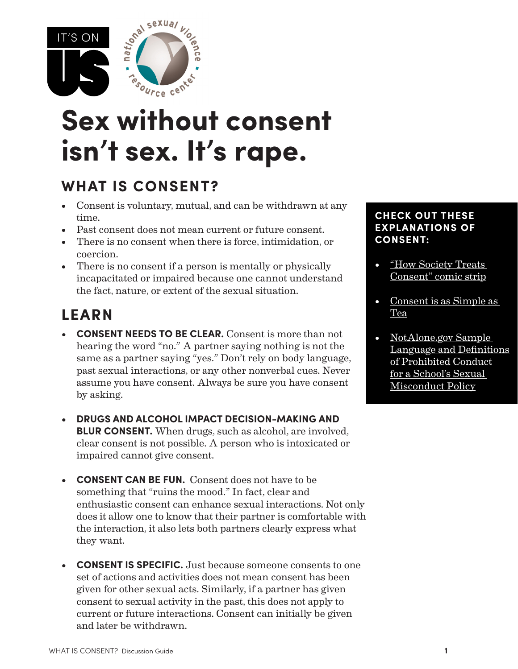

# **Sex without consent isn't sex. It's rape.**

### **WHAT IS CONSENT?**

- Consent is voluntary, mutual, and can be withdrawn at any time.
- Past consent does not mean current or future consent.
- • There is no consent when there is force, intimidation, or coercion.
- There is no consent if a person is mentally or physically incapacitated or impaired because one cannot understand the fact, nature, or extent of the sexual situation.

## **LEARN**

- **• CONSENT NEEDS TO BE CLEAR.** Consent is more than not hearing the word "no." A partner saying nothing is not the same as a partner saying "yes." Don't rely on body language, past sexual interactions, or any other nonverbal cues. Never assume you have consent. Always be sure you have consent by asking.
- **• DRUGS AND ALCOHOL IMPACT DECISION-MAKING AND BLUR CONSENT.** When drugs, such as alcohol, are involved, clear consent is not possible. A person who is intoxicated or impaired cannot give consent.
- **• CONSENT CAN BE FUN.** Consent does not have to be something that "ruins the mood." In fact, clear and enthusiastic consent can enhance sexual interactions. Not only does it allow one to know that their partner is comfortable with the interaction, it also lets both partners clearly express what they want.
- **• CONSENT IS SPECIFIC.** Just because someone consents to one set of actions and activities does not mean consent has been given for other sexual acts. Similarly, if a partner has given consent to sexual activity in the past, this does not apply to current or future interactions. Consent can initially be given and later be withdrawn.

#### **CHECK OUT THESE EXPLANATIONS OF CONSENT:**

- "How [Society](http://everydayfeminism.com/2015/06/how-society-treats-consent/) Treats" [Consent"](http://everydayfeminism.com/2015/06/how-society-treats-consent/) comic strip
- [Consent](https://www.youtube.com/watch%3Fv%3DfGoWLWS4-kU) is as Simple as [Tea](https://www.youtube.com/watch%3Fv%3DfGoWLWS4-kU)
- [NotAlone.gov](https://www.notalone.gov/assets/definitions-of-prohibited-conduct.pdf) Sample Language and [Definitions](https://www.notalone.gov/assets/definitions-of-prohibited-conduct.pdf) of [Prohibited](https://www.notalone.gov/assets/definitions-of-prohibited-conduct.pdf) Conduct for a [School's](https://www.notalone.gov/assets/definitions-of-prohibited-conduct.pdf) Sexual [Misconduct](https://www.notalone.gov/assets/definitions-of-prohibited-conduct.pdf) Policy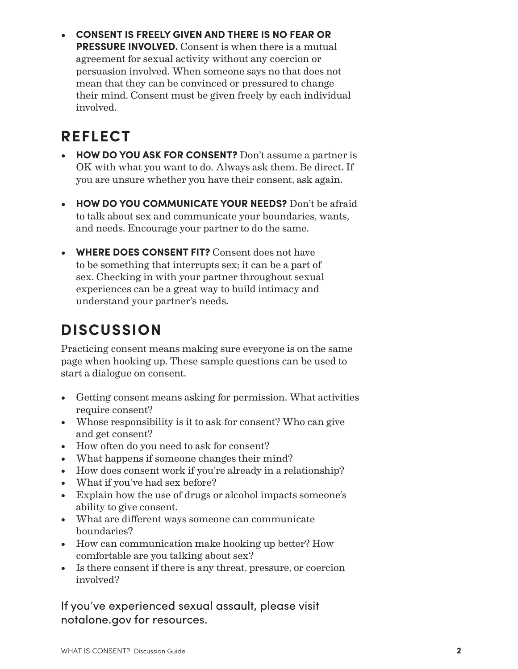**CONSENT IS FREELY GIVEN AND THERE IS NO FEAR OR PRESSURE INVOLVED.** Consent is when there is a mutual agreement for sexual activity without any coercion or persuasion involved. When someone says no that does not mean that they can be convinced or pressured to change their mind. Consent must be given freely by each individual involved.

## **REFLECT**

- **• HOW DO YOU ASK FOR CONSENT?** Don't assume a partner is OK with what you want to do. Always ask them. Be direct. If you are unsure whether you have their consent, ask again.
- **• HOW DO YOU COMMUNICATE YOUR NEEDS?** Don't be afraid to talk about sex and communicate your boundaries, wants, and needs. Encourage your partner to do the same.
- **WHERE DOES CONSENT FIT?** Consent does not have to be something that interrupts sex; it can be a part of sex. Checking in with your partner throughout sexual experiences can be a great way to build intimacy and understand your partner's needs.

## **DISCUSSION**

Practicing consent means making sure everyone is on the same page when hooking up. These sample questions can be used to start a dialogue on consent.

- Getting consent means asking for permission. What activities require consent?
- Whose responsibility is it to ask for consent? Who can give and get consent?
- How often do you need to ask for consent?
- What happens if someone changes their mind?
- How does consent work if you're already in a relationship?
- What if you've had sex before?
- • Explain how the use of drugs or alcohol impacts someone's ability to give consent.
- What are different ways someone can communicate boundaries?
- How can communication make hooking up better? How comfortable are you talking about sex?
- Is there consent if there is any threat, pressure, or coercion involved?

If you've experienced sexual assault, please visit notalone.gov for resources.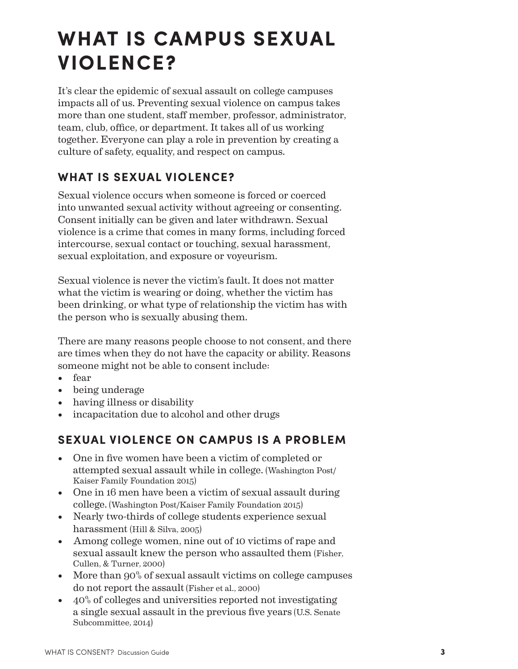## **WHAT IS CAMPUS SEXUAL VIOLENCE?**

It's clear the epidemic of sexual assault on college campuses impacts all of us. Preventing sexual violence on campus takes more than one student, staff member, professor, administrator, team, club, office, or department. It takes all of us working together. Everyone can play a role in prevention by creating a culture of safety, equality, and respect on campus.

#### **WHAT IS SEXUAL VIOLENCE?**

Sexual violence occurs when someone is forced or coerced into unwanted sexual activity without agreeing or consenting. Consent initially can be given and later withdrawn. Sexual violence is a crime that comes in many forms, including forced intercourse, sexual contact or touching, sexual harassment, sexual exploitation, and exposure or voyeurism.

Sexual violence is never the victim's fault. It does not matter what the victim is wearing or doing, whether the victim has been drinking, or what type of relationship the victim has with the person who is sexually abusing them.

There are many reasons people choose to not consent, and there are times when they do not have the capacity or ability. Reasons someone might not be able to consent include:

- • fear
- • being underage
- having illness or disability
- incapacitation due to alcohol and other drugs

#### **SEXUAL VIOLENCE ON CAMPUS IS A PROBLEM**

- One in five women have been a victim of completed or attempted sexual assault while in college. (Washington Post/ Kaiser Family Foundation 2015)
- One in 16 men have been a victim of sexual assault during college. (Washington Post/Kaiser Family Foundation 2015)
- Nearly two-thirds of college students experience sexual harassment (Hill & Silva, 2005)
- Among college women, nine out of 10 victims of rape and sexual assault knew the person who assaulted them (Fisher, Cullen, & Turner, 2000)
- More than 90% of sexual assault victims on college campuses do not report the assault (Fisher et al., 2000)
- $\bullet$  40% of colleges and universities reported not investigating a single sexual assault in the previous five years (U.S. Senate Subcommittee, 2014)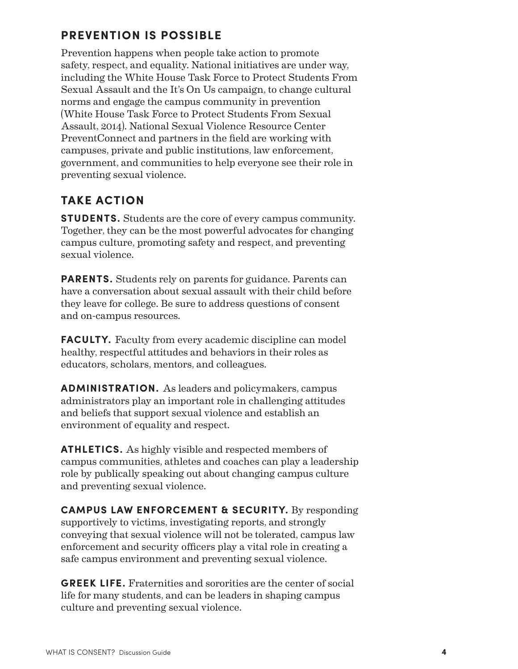#### **PREVENTION IS POSSIBLE**

Prevention happens when people take action to promote safety, respect, and equality. National initiatives are under way, including the White House Task Force to Protect Students From Sexual Assault and the It's On Us campaign, to change cultural norms and engage the campus community in prevention (White House Task Force to Protect Students From Sexual Assault, 2014). National Sexual Violence Resource Center PreventConnect and partners in the field are working with campuses, private and public institutions, law enforcement, government, and communities to help everyone see their role in preventing sexual violence.

#### **TAKE ACTION**

**STUDENTS.** Students are the core of every campus community. Together, they can be the most powerful advocates for changing campus culture, promoting safety and respect, and preventing sexual violence.

**PARENTS.** Students rely on parents for guidance. Parents can have a conversation about sexual assault with their child before they leave for college. Be sure to address questions of consent and on-campus resources.

**FACULTY.** Faculty from every academic discipline can model healthy, respectful attitudes and behaviors in their roles as educators, scholars, mentors, and colleagues.

**ADMINISTRATION.** As leaders and policymakers, campus administrators play an important role in challenging attitudes and beliefs that support sexual violence and establish an environment of equality and respect.

**ATHLETICS.** As highly visible and respected members of campus communities, athletes and coaches can play a leadership role by publically speaking out about changing campus culture and preventing sexual violence.

**CAMPUS LAW ENFORCEMENT & SECURITY.** By responding supportively to victims, investigating reports, and strongly conveying that sexual violence will not be tolerated, campus law enforcement and security officers play a vital role in creating a safe campus environment and preventing sexual violence.

**GREEK LIFE.** Fraternities and sororities are the center of social life for many students, and can be leaders in shaping campus culture and preventing sexual violence.